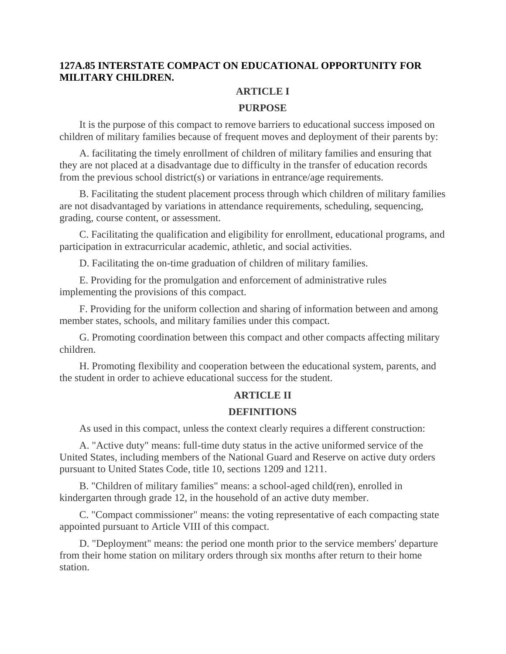## **127A.85 INTERSTATE COMPACT ON EDUCATIONAL OPPORTUNITY FOR MILITARY CHILDREN.**

## **ARTICLE I**

## **PURPOSE**

It is the purpose of this compact to remove barriers to educational success imposed on children of military families because of frequent moves and deployment of their parents by:

A. facilitating the timely enrollment of children of military families and ensuring that they are not placed at a disadvantage due to difficulty in the transfer of education records from the previous school district(s) or variations in entrance/age requirements.

B. Facilitating the student placement process through which children of military families are not disadvantaged by variations in attendance requirements, scheduling, sequencing, grading, course content, or assessment.

C. Facilitating the qualification and eligibility for enrollment, educational programs, and participation in extracurricular academic, athletic, and social activities.

D. Facilitating the on-time graduation of children of military families.

E. Providing for the promulgation and enforcement of administrative rules implementing the provisions of this compact.

F. Providing for the uniform collection and sharing of information between and among member states, schools, and military families under this compact.

G. Promoting coordination between this compact and other compacts affecting military children.

H. Promoting flexibility and cooperation between the educational system, parents, and the student in order to achieve educational success for the student.

## **ARTICLE II**

#### **DEFINITIONS**

As used in this compact, unless the context clearly requires a different construction:

A. "Active duty" means: full-time duty status in the active uniformed service of the United States, including members of the National Guard and Reserve on active duty orders pursuant to United States Code, title 10, sections 1209 and 1211.

B. "Children of military families" means: a school-aged child(ren), enrolled in kindergarten through grade 12, in the household of an active duty member.

C. "Compact commissioner" means: the voting representative of each compacting state appointed pursuant to Article VIII of this compact.

D. "Deployment" means: the period one month prior to the service members' departure from their home station on military orders through six months after return to their home station.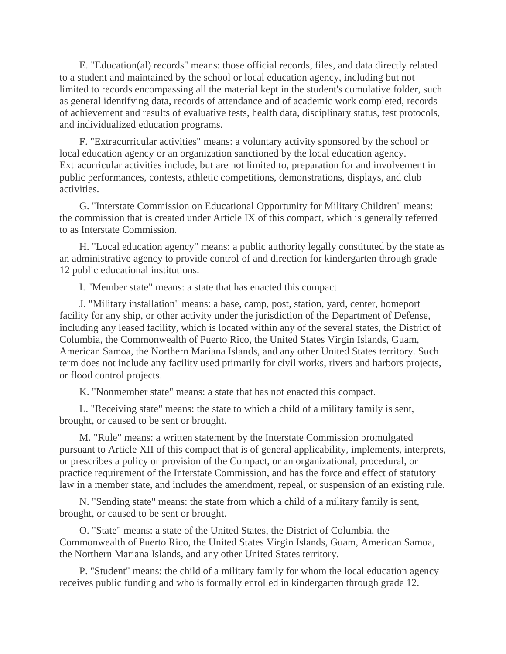E. "Education(al) records" means: those official records, files, and data directly related to a student and maintained by the school or local education agency, including but not limited to records encompassing all the material kept in the student's cumulative folder, such as general identifying data, records of attendance and of academic work completed, records of achievement and results of evaluative tests, health data, disciplinary status, test protocols, and individualized education programs.

F. "Extracurricular activities" means: a voluntary activity sponsored by the school or local education agency or an organization sanctioned by the local education agency. Extracurricular activities include, but are not limited to, preparation for and involvement in public performances, contests, athletic competitions, demonstrations, displays, and club activities.

G. "Interstate Commission on Educational Opportunity for Military Children" means: the commission that is created under Article IX of this compact, which is generally referred to as Interstate Commission.

H. "Local education agency" means: a public authority legally constituted by the state as an administrative agency to provide control of and direction for kindergarten through grade 12 public educational institutions.

I. "Member state" means: a state that has enacted this compact.

J. "Military installation" means: a base, camp, post, station, yard, center, homeport facility for any ship, or other activity under the jurisdiction of the Department of Defense, including any leased facility, which is located within any of the several states, the District of Columbia, the Commonwealth of Puerto Rico, the United States Virgin Islands, Guam, American Samoa, the Northern Mariana Islands, and any other United States territory. Such term does not include any facility used primarily for civil works, rivers and harbors projects, or flood control projects.

K. "Nonmember state" means: a state that has not enacted this compact.

L. "Receiving state" means: the state to which a child of a military family is sent, brought, or caused to be sent or brought.

M. "Rule" means: a written statement by the Interstate Commission promulgated pursuant to Article XII of this compact that is of general applicability, implements, interprets, or prescribes a policy or provision of the Compact, or an organizational, procedural, or practice requirement of the Interstate Commission, and has the force and effect of statutory law in a member state, and includes the amendment, repeal, or suspension of an existing rule.

N. "Sending state" means: the state from which a child of a military family is sent, brought, or caused to be sent or brought.

O. "State" means: a state of the United States, the District of Columbia, the Commonwealth of Puerto Rico, the United States Virgin Islands, Guam, American Samoa, the Northern Mariana Islands, and any other United States territory.

P. "Student" means: the child of a military family for whom the local education agency receives public funding and who is formally enrolled in kindergarten through grade 12.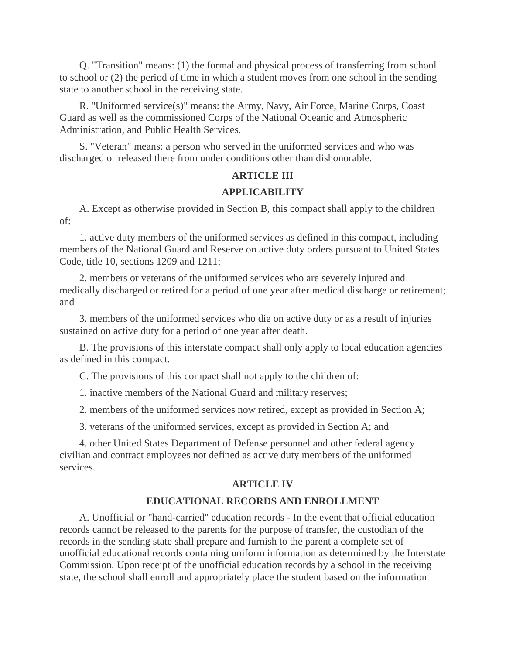Q. "Transition" means: (1) the formal and physical process of transferring from school to school or (2) the period of time in which a student moves from one school in the sending state to another school in the receiving state.

R. "Uniformed service(s)" means: the Army, Navy, Air Force, Marine Corps, Coast Guard as well as the commissioned Corps of the National Oceanic and Atmospheric Administration, and Public Health Services.

S. "Veteran" means: a person who served in the uniformed services and who was discharged or released there from under conditions other than dishonorable.

#### **ARTICLE III**

#### **APPLICABILITY**

A. Except as otherwise provided in Section B, this compact shall apply to the children of:

1. active duty members of the uniformed services as defined in this compact, including members of the National Guard and Reserve on active duty orders pursuant to United States Code, title 10, sections 1209 and 1211;

2. members or veterans of the uniformed services who are severely injured and medically discharged or retired for a period of one year after medical discharge or retirement; and

3. members of the uniformed services who die on active duty or as a result of injuries sustained on active duty for a period of one year after death.

B. The provisions of this interstate compact shall only apply to local education agencies as defined in this compact.

C. The provisions of this compact shall not apply to the children of:

1. inactive members of the National Guard and military reserves;

2. members of the uniformed services now retired, except as provided in Section A;

3. veterans of the uniformed services, except as provided in Section A; and

4. other United States Department of Defense personnel and other federal agency civilian and contract employees not defined as active duty members of the uniformed services.

## **ARTICLE IV**

#### **EDUCATIONAL RECORDS AND ENROLLMENT**

A. Unofficial or "hand-carried" education records - In the event that official education records cannot be released to the parents for the purpose of transfer, the custodian of the records in the sending state shall prepare and furnish to the parent a complete set of unofficial educational records containing uniform information as determined by the Interstate Commission. Upon receipt of the unofficial education records by a school in the receiving state, the school shall enroll and appropriately place the student based on the information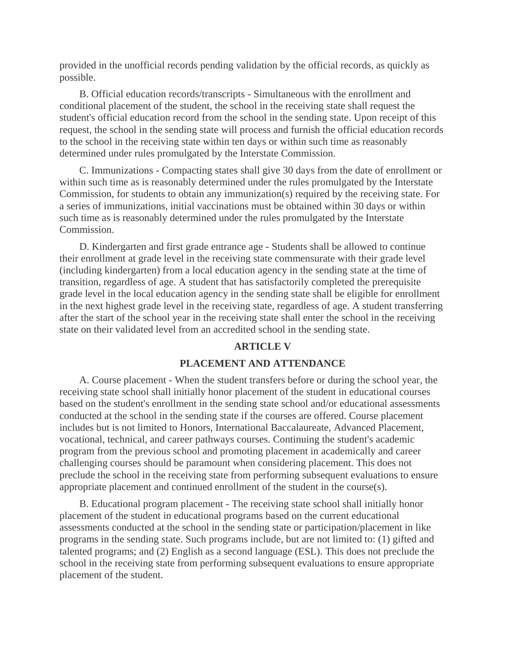provided in the unofficial records pending validation by the official records, as quickly as possible.

B. Official education records/transcripts - Simultaneous with the enrollment and conditional placement of the student, the school in the receiving state shall request the student's official education record from the school in the sending state. Upon receipt of this request, the school in the sending state will process and furnish the official education records to the school in the receiving state within ten days or within such time as reasonably determined under rules promulgated by the Interstate Commission.

C. Immunizations - Compacting states shall give 30 days from the date of enrollment or within such time as is reasonably determined under the rules promulgated by the Interstate Commission, for students to obtain any immunization(s) required by the receiving state. For a series of immunizations, initial vaccinations must be obtained within 30 days or within such time as is reasonably determined under the rules promulgated by the Interstate Commission.

D. Kindergarten and first grade entrance age - Students shall be allowed to continue their enrollment at grade level in the receiving state commensurate with their grade level (including kindergarten) from a local education agency in the sending state at the time of transition, regardless of age. A student that has satisfactorily completed the prerequisite grade level in the local education agency in the sending state shall be eligible for enrollment in the next highest grade level in the receiving state, regardless of age. A student transferring after the start of the school year in the receiving state shall enter the school in the receiving state on their validated level from an accredited school in the sending state.

## **ARTICLE V**

## **PLACEMENT AND ATTENDANCE**

A. Course placement - When the student transfers before or during the school year, the receiving state school shall initially honor placement of the student in educational courses based on the student's enrollment in the sending state school and/or educational assessments conducted at the school in the sending state if the courses are offered. Course placement includes but is not limited to Honors, International Baccalaureate, Advanced Placement, vocational, technical, and career pathways courses. Continuing the student's academic program from the previous school and promoting placement in academically and career challenging courses should be paramount when considering placement. This does not preclude the school in the receiving state from performing subsequent evaluations to ensure appropriate placement and continued enrollment of the student in the course(s).

B. Educational program placement - The receiving state school shall initially honor placement of the student in educational programs based on the current educational assessments conducted at the school in the sending state or participation/placement in like programs in the sending state. Such programs include, but are not limited to: (1) gifted and talented programs; and (2) English as a second language (ESL). This does not preclude the school in the receiving state from performing subsequent evaluations to ensure appropriate placement of the student.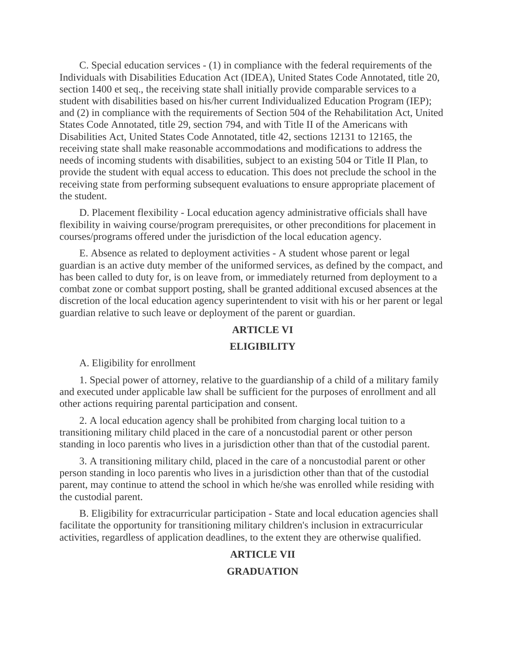C. Special education services - (1) in compliance with the federal requirements of the Individuals with Disabilities Education Act (IDEA), United States Code Annotated, title 20, section 1400 et seq., the receiving state shall initially provide comparable services to a student with disabilities based on his/her current Individualized Education Program (IEP); and (2) in compliance with the requirements of Section 504 of the Rehabilitation Act, United States Code Annotated, title 29, section 794, and with Title II of the Americans with Disabilities Act, United States Code Annotated, title 42, sections 12131 to 12165, the receiving state shall make reasonable accommodations and modifications to address the needs of incoming students with disabilities, subject to an existing 504 or Title II Plan, to provide the student with equal access to education. This does not preclude the school in the receiving state from performing subsequent evaluations to ensure appropriate placement of the student.

D. Placement flexibility - Local education agency administrative officials shall have flexibility in waiving course/program prerequisites, or other preconditions for placement in courses/programs offered under the jurisdiction of the local education agency.

E. Absence as related to deployment activities - A student whose parent or legal guardian is an active duty member of the uniformed services, as defined by the compact, and has been called to duty for, is on leave from, or immediately returned from deployment to a combat zone or combat support posting, shall be granted additional excused absences at the discretion of the local education agency superintendent to visit with his or her parent or legal guardian relative to such leave or deployment of the parent or guardian.

#### **ARTICLE VI**

#### **ELIGIBILITY**

A. Eligibility for enrollment

1. Special power of attorney, relative to the guardianship of a child of a military family and executed under applicable law shall be sufficient for the purposes of enrollment and all other actions requiring parental participation and consent.

2. A local education agency shall be prohibited from charging local tuition to a transitioning military child placed in the care of a noncustodial parent or other person standing in loco parentis who lives in a jurisdiction other than that of the custodial parent.

3. A transitioning military child, placed in the care of a noncustodial parent or other person standing in loco parentis who lives in a jurisdiction other than that of the custodial parent, may continue to attend the school in which he/she was enrolled while residing with the custodial parent.

B. Eligibility for extracurricular participation - State and local education agencies shall facilitate the opportunity for transitioning military children's inclusion in extracurricular activities, regardless of application deadlines, to the extent they are otherwise qualified.

## **ARTICLE VII**

#### **GRADUATION**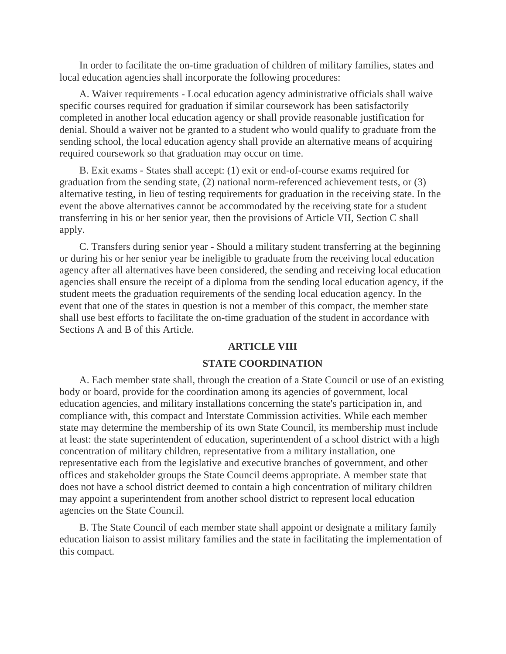In order to facilitate the on-time graduation of children of military families, states and local education agencies shall incorporate the following procedures:

A. Waiver requirements - Local education agency administrative officials shall waive specific courses required for graduation if similar coursework has been satisfactorily completed in another local education agency or shall provide reasonable justification for denial. Should a waiver not be granted to a student who would qualify to graduate from the sending school, the local education agency shall provide an alternative means of acquiring required coursework so that graduation may occur on time.

B. Exit exams - States shall accept: (1) exit or end-of-course exams required for graduation from the sending state, (2) national norm-referenced achievement tests, or (3) alternative testing, in lieu of testing requirements for graduation in the receiving state. In the event the above alternatives cannot be accommodated by the receiving state for a student transferring in his or her senior year, then the provisions of Article VII, Section C shall apply.

C. Transfers during senior year - Should a military student transferring at the beginning or during his or her senior year be ineligible to graduate from the receiving local education agency after all alternatives have been considered, the sending and receiving local education agencies shall ensure the receipt of a diploma from the sending local education agency, if the student meets the graduation requirements of the sending local education agency. In the event that one of the states in question is not a member of this compact, the member state shall use best efforts to facilitate the on-time graduation of the student in accordance with Sections A and B of this Article.

## **ARTICLE VIII**

## **STATE COORDINATION**

A. Each member state shall, through the creation of a State Council or use of an existing body or board, provide for the coordination among its agencies of government, local education agencies, and military installations concerning the state's participation in, and compliance with, this compact and Interstate Commission activities. While each member state may determine the membership of its own State Council, its membership must include at least: the state superintendent of education, superintendent of a school district with a high concentration of military children, representative from a military installation, one representative each from the legislative and executive branches of government, and other offices and stakeholder groups the State Council deems appropriate. A member state that does not have a school district deemed to contain a high concentration of military children may appoint a superintendent from another school district to represent local education agencies on the State Council.

B. The State Council of each member state shall appoint or designate a military family education liaison to assist military families and the state in facilitating the implementation of this compact.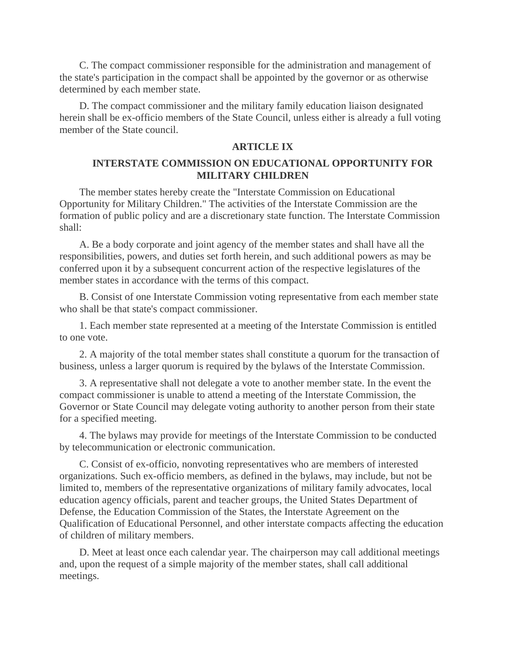C. The compact commissioner responsible for the administration and management of the state's participation in the compact shall be appointed by the governor or as otherwise determined by each member state.

D. The compact commissioner and the military family education liaison designated herein shall be ex-officio members of the State Council, unless either is already a full voting member of the State council.

## **ARTICLE IX**

## **INTERSTATE COMMISSION ON EDUCATIONAL OPPORTUNITY FOR MILITARY CHILDREN**

The member states hereby create the "Interstate Commission on Educational Opportunity for Military Children." The activities of the Interstate Commission are the formation of public policy and are a discretionary state function. The Interstate Commission shall:

A. Be a body corporate and joint agency of the member states and shall have all the responsibilities, powers, and duties set forth herein, and such additional powers as may be conferred upon it by a subsequent concurrent action of the respective legislatures of the member states in accordance with the terms of this compact.

B. Consist of one Interstate Commission voting representative from each member state who shall be that state's compact commissioner.

1. Each member state represented at a meeting of the Interstate Commission is entitled to one vote.

2. A majority of the total member states shall constitute a quorum for the transaction of business, unless a larger quorum is required by the bylaws of the Interstate Commission.

3. A representative shall not delegate a vote to another member state. In the event the compact commissioner is unable to attend a meeting of the Interstate Commission, the Governor or State Council may delegate voting authority to another person from their state for a specified meeting.

4. The bylaws may provide for meetings of the Interstate Commission to be conducted by telecommunication or electronic communication.

C. Consist of ex-officio, nonvoting representatives who are members of interested organizations. Such ex-officio members, as defined in the bylaws, may include, but not be limited to, members of the representative organizations of military family advocates, local education agency officials, parent and teacher groups, the United States Department of Defense, the Education Commission of the States, the Interstate Agreement on the Qualification of Educational Personnel, and other interstate compacts affecting the education of children of military members.

D. Meet at least once each calendar year. The chairperson may call additional meetings and, upon the request of a simple majority of the member states, shall call additional meetings.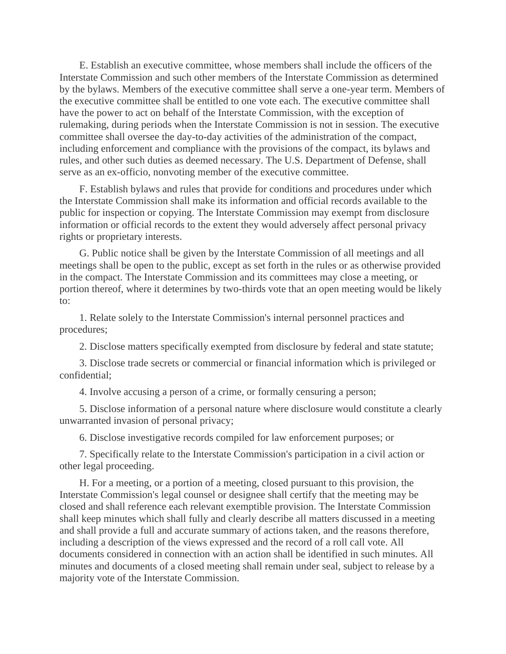E. Establish an executive committee, whose members shall include the officers of the Interstate Commission and such other members of the Interstate Commission as determined by the bylaws. Members of the executive committee shall serve a one-year term. Members of the executive committee shall be entitled to one vote each. The executive committee shall have the power to act on behalf of the Interstate Commission, with the exception of rulemaking, during periods when the Interstate Commission is not in session. The executive committee shall oversee the day-to-day activities of the administration of the compact, including enforcement and compliance with the provisions of the compact, its bylaws and rules, and other such duties as deemed necessary. The U.S. Department of Defense, shall serve as an ex-officio, nonvoting member of the executive committee.

F. Establish bylaws and rules that provide for conditions and procedures under which the Interstate Commission shall make its information and official records available to the public for inspection or copying. The Interstate Commission may exempt from disclosure information or official records to the extent they would adversely affect personal privacy rights or proprietary interests.

G. Public notice shall be given by the Interstate Commission of all meetings and all meetings shall be open to the public, except as set forth in the rules or as otherwise provided in the compact. The Interstate Commission and its committees may close a meeting, or portion thereof, where it determines by two-thirds vote that an open meeting would be likely to:

1. Relate solely to the Interstate Commission's internal personnel practices and procedures;

2. Disclose matters specifically exempted from disclosure by federal and state statute;

3. Disclose trade secrets or commercial or financial information which is privileged or confidential;

4. Involve accusing a person of a crime, or formally censuring a person;

5. Disclose information of a personal nature where disclosure would constitute a clearly unwarranted invasion of personal privacy;

6. Disclose investigative records compiled for law enforcement purposes; or

7. Specifically relate to the Interstate Commission's participation in a civil action or other legal proceeding.

H. For a meeting, or a portion of a meeting, closed pursuant to this provision, the Interstate Commission's legal counsel or designee shall certify that the meeting may be closed and shall reference each relevant exemptible provision. The Interstate Commission shall keep minutes which shall fully and clearly describe all matters discussed in a meeting and shall provide a full and accurate summary of actions taken, and the reasons therefore, including a description of the views expressed and the record of a roll call vote. All documents considered in connection with an action shall be identified in such minutes. All minutes and documents of a closed meeting shall remain under seal, subject to release by a majority vote of the Interstate Commission.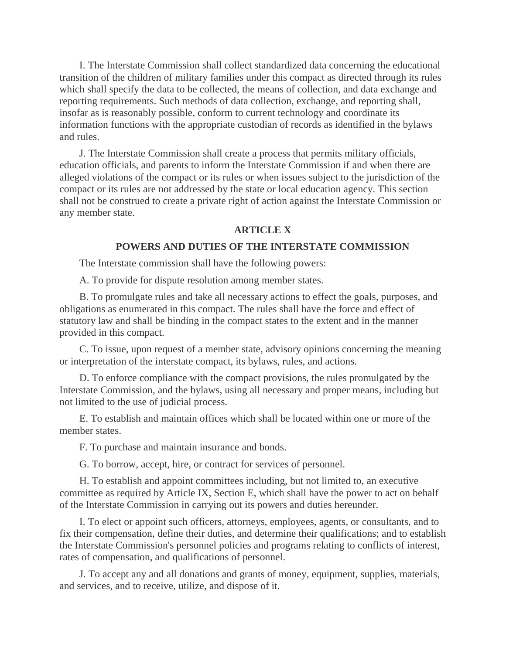I. The Interstate Commission shall collect standardized data concerning the educational transition of the children of military families under this compact as directed through its rules which shall specify the data to be collected, the means of collection, and data exchange and reporting requirements. Such methods of data collection, exchange, and reporting shall, insofar as is reasonably possible, conform to current technology and coordinate its information functions with the appropriate custodian of records as identified in the bylaws and rules.

J. The Interstate Commission shall create a process that permits military officials, education officials, and parents to inform the Interstate Commission if and when there are alleged violations of the compact or its rules or when issues subject to the jurisdiction of the compact or its rules are not addressed by the state or local education agency. This section shall not be construed to create a private right of action against the Interstate Commission or any member state.

#### **ARTICLE X**

## **POWERS AND DUTIES OF THE INTERSTATE COMMISSION**

The Interstate commission shall have the following powers:

A. To provide for dispute resolution among member states.

B. To promulgate rules and take all necessary actions to effect the goals, purposes, and obligations as enumerated in this compact. The rules shall have the force and effect of statutory law and shall be binding in the compact states to the extent and in the manner provided in this compact.

C. To issue, upon request of a member state, advisory opinions concerning the meaning or interpretation of the interstate compact, its bylaws, rules, and actions.

D. To enforce compliance with the compact provisions, the rules promulgated by the Interstate Commission, and the bylaws, using all necessary and proper means, including but not limited to the use of judicial process.

E. To establish and maintain offices which shall be located within one or more of the member states.

F. To purchase and maintain insurance and bonds.

G. To borrow, accept, hire, or contract for services of personnel.

H. To establish and appoint committees including, but not limited to, an executive committee as required by Article IX, Section E, which shall have the power to act on behalf of the Interstate Commission in carrying out its powers and duties hereunder.

I. To elect or appoint such officers, attorneys, employees, agents, or consultants, and to fix their compensation, define their duties, and determine their qualifications; and to establish the Interstate Commission's personnel policies and programs relating to conflicts of interest, rates of compensation, and qualifications of personnel.

J. To accept any and all donations and grants of money, equipment, supplies, materials, and services, and to receive, utilize, and dispose of it.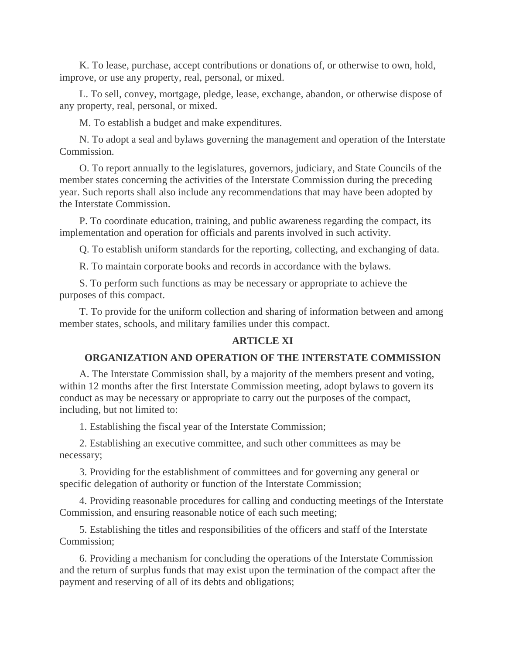K. To lease, purchase, accept contributions or donations of, or otherwise to own, hold, improve, or use any property, real, personal, or mixed.

L. To sell, convey, mortgage, pledge, lease, exchange, abandon, or otherwise dispose of any property, real, personal, or mixed.

M. To establish a budget and make expenditures.

N. To adopt a seal and bylaws governing the management and operation of the Interstate Commission.

O. To report annually to the legislatures, governors, judiciary, and State Councils of the member states concerning the activities of the Interstate Commission during the preceding year. Such reports shall also include any recommendations that may have been adopted by the Interstate Commission.

P. To coordinate education, training, and public awareness regarding the compact, its implementation and operation for officials and parents involved in such activity.

Q. To establish uniform standards for the reporting, collecting, and exchanging of data.

R. To maintain corporate books and records in accordance with the bylaws.

S. To perform such functions as may be necessary or appropriate to achieve the purposes of this compact.

T. To provide for the uniform collection and sharing of information between and among member states, schools, and military families under this compact.

## **ARTICLE XI**

#### **ORGANIZATION AND OPERATION OF THE INTERSTATE COMMISSION**

A. The Interstate Commission shall, by a majority of the members present and voting, within 12 months after the first Interstate Commission meeting, adopt bylaws to govern its conduct as may be necessary or appropriate to carry out the purposes of the compact, including, but not limited to:

1. Establishing the fiscal year of the Interstate Commission;

2. Establishing an executive committee, and such other committees as may be necessary;

3. Providing for the establishment of committees and for governing any general or specific delegation of authority or function of the Interstate Commission;

4. Providing reasonable procedures for calling and conducting meetings of the Interstate Commission, and ensuring reasonable notice of each such meeting;

5. Establishing the titles and responsibilities of the officers and staff of the Interstate Commission;

6. Providing a mechanism for concluding the operations of the Interstate Commission and the return of surplus funds that may exist upon the termination of the compact after the payment and reserving of all of its debts and obligations;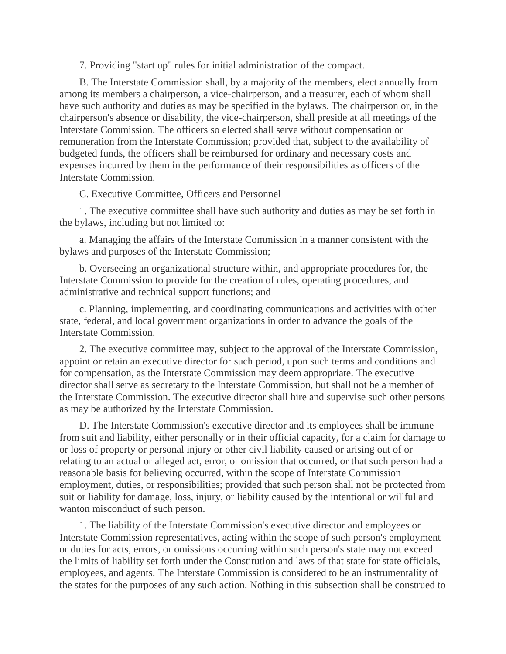7. Providing "start up" rules for initial administration of the compact.

B. The Interstate Commission shall, by a majority of the members, elect annually from among its members a chairperson, a vice-chairperson, and a treasurer, each of whom shall have such authority and duties as may be specified in the bylaws. The chairperson or, in the chairperson's absence or disability, the vice-chairperson, shall preside at all meetings of the Interstate Commission. The officers so elected shall serve without compensation or remuneration from the Interstate Commission; provided that, subject to the availability of budgeted funds, the officers shall be reimbursed for ordinary and necessary costs and expenses incurred by them in the performance of their responsibilities as officers of the Interstate Commission.

C. Executive Committee, Officers and Personnel

1. The executive committee shall have such authority and duties as may be set forth in the bylaws, including but not limited to:

a. Managing the affairs of the Interstate Commission in a manner consistent with the bylaws and purposes of the Interstate Commission;

b. Overseeing an organizational structure within, and appropriate procedures for, the Interstate Commission to provide for the creation of rules, operating procedures, and administrative and technical support functions; and

c. Planning, implementing, and coordinating communications and activities with other state, federal, and local government organizations in order to advance the goals of the Interstate Commission.

2. The executive committee may, subject to the approval of the Interstate Commission, appoint or retain an executive director for such period, upon such terms and conditions and for compensation, as the Interstate Commission may deem appropriate. The executive director shall serve as secretary to the Interstate Commission, but shall not be a member of the Interstate Commission. The executive director shall hire and supervise such other persons as may be authorized by the Interstate Commission.

D. The Interstate Commission's executive director and its employees shall be immune from suit and liability, either personally or in their official capacity, for a claim for damage to or loss of property or personal injury or other civil liability caused or arising out of or relating to an actual or alleged act, error, or omission that occurred, or that such person had a reasonable basis for believing occurred, within the scope of Interstate Commission employment, duties, or responsibilities; provided that such person shall not be protected from suit or liability for damage, loss, injury, or liability caused by the intentional or willful and wanton misconduct of such person.

1. The liability of the Interstate Commission's executive director and employees or Interstate Commission representatives, acting within the scope of such person's employment or duties for acts, errors, or omissions occurring within such person's state may not exceed the limits of liability set forth under the Constitution and laws of that state for state officials, employees, and agents. The Interstate Commission is considered to be an instrumentality of the states for the purposes of any such action. Nothing in this subsection shall be construed to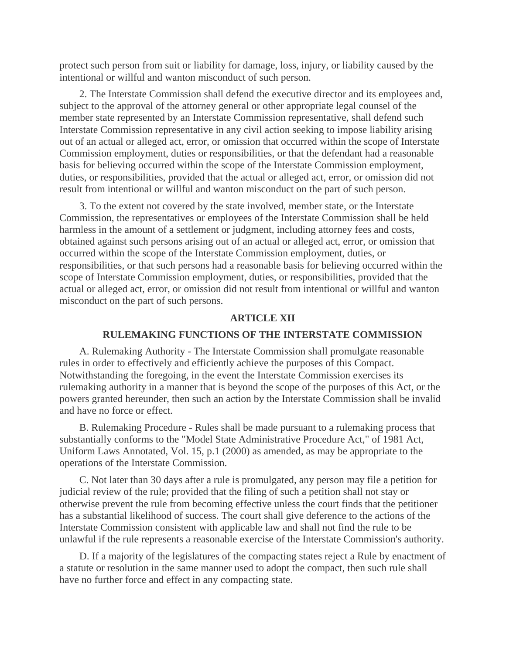protect such person from suit or liability for damage, loss, injury, or liability caused by the intentional or willful and wanton misconduct of such person.

2. The Interstate Commission shall defend the executive director and its employees and, subject to the approval of the attorney general or other appropriate legal counsel of the member state represented by an Interstate Commission representative, shall defend such Interstate Commission representative in any civil action seeking to impose liability arising out of an actual or alleged act, error, or omission that occurred within the scope of Interstate Commission employment, duties or responsibilities, or that the defendant had a reasonable basis for believing occurred within the scope of the Interstate Commission employment, duties, or responsibilities, provided that the actual or alleged act, error, or omission did not result from intentional or willful and wanton misconduct on the part of such person.

3. To the extent not covered by the state involved, member state, or the Interstate Commission, the representatives or employees of the Interstate Commission shall be held harmless in the amount of a settlement or judgment, including attorney fees and costs, obtained against such persons arising out of an actual or alleged act, error, or omission that occurred within the scope of the Interstate Commission employment, duties, or responsibilities, or that such persons had a reasonable basis for believing occurred within the scope of Interstate Commission employment, duties, or responsibilities, provided that the actual or alleged act, error, or omission did not result from intentional or willful and wanton misconduct on the part of such persons.

### **ARTICLE XII**

#### **RULEMAKING FUNCTIONS OF THE INTERSTATE COMMISSION**

A. Rulemaking Authority - The Interstate Commission shall promulgate reasonable rules in order to effectively and efficiently achieve the purposes of this Compact. Notwithstanding the foregoing, in the event the Interstate Commission exercises its rulemaking authority in a manner that is beyond the scope of the purposes of this Act, or the powers granted hereunder, then such an action by the Interstate Commission shall be invalid and have no force or effect.

B. Rulemaking Procedure - Rules shall be made pursuant to a rulemaking process that substantially conforms to the "Model State Administrative Procedure Act," of 1981 Act, Uniform Laws Annotated, Vol. 15, p.1 (2000) as amended, as may be appropriate to the operations of the Interstate Commission.

C. Not later than 30 days after a rule is promulgated, any person may file a petition for judicial review of the rule; provided that the filing of such a petition shall not stay or otherwise prevent the rule from becoming effective unless the court finds that the petitioner has a substantial likelihood of success. The court shall give deference to the actions of the Interstate Commission consistent with applicable law and shall not find the rule to be unlawful if the rule represents a reasonable exercise of the Interstate Commission's authority.

D. If a majority of the legislatures of the compacting states reject a Rule by enactment of a statute or resolution in the same manner used to adopt the compact, then such rule shall have no further force and effect in any compacting state.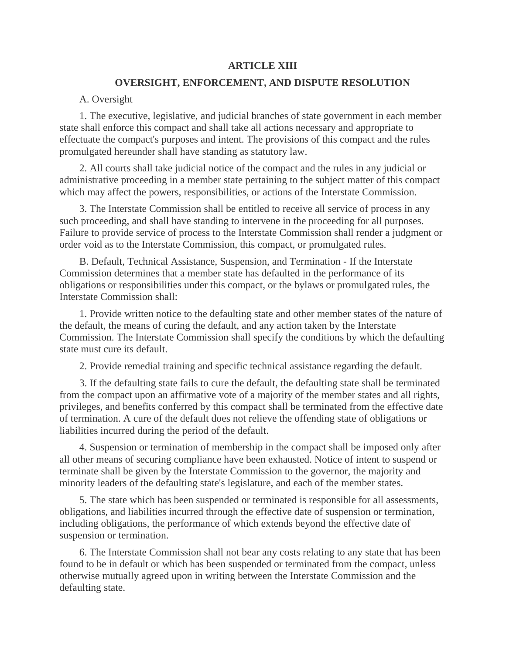## **ARTICLE XIII**

### **OVERSIGHT, ENFORCEMENT, AND DISPUTE RESOLUTION**

#### A. Oversight

1. The executive, legislative, and judicial branches of state government in each member state shall enforce this compact and shall take all actions necessary and appropriate to effectuate the compact's purposes and intent. The provisions of this compact and the rules promulgated hereunder shall have standing as statutory law.

2. All courts shall take judicial notice of the compact and the rules in any judicial or administrative proceeding in a member state pertaining to the subject matter of this compact which may affect the powers, responsibilities, or actions of the Interstate Commission.

3. The Interstate Commission shall be entitled to receive all service of process in any such proceeding, and shall have standing to intervene in the proceeding for all purposes. Failure to provide service of process to the Interstate Commission shall render a judgment or order void as to the Interstate Commission, this compact, or promulgated rules.

B. Default, Technical Assistance, Suspension, and Termination - If the Interstate Commission determines that a member state has defaulted in the performance of its obligations or responsibilities under this compact, or the bylaws or promulgated rules, the Interstate Commission shall:

1. Provide written notice to the defaulting state and other member states of the nature of the default, the means of curing the default, and any action taken by the Interstate Commission. The Interstate Commission shall specify the conditions by which the defaulting state must cure its default.

2. Provide remedial training and specific technical assistance regarding the default.

3. If the defaulting state fails to cure the default, the defaulting state shall be terminated from the compact upon an affirmative vote of a majority of the member states and all rights, privileges, and benefits conferred by this compact shall be terminated from the effective date of termination. A cure of the default does not relieve the offending state of obligations or liabilities incurred during the period of the default.

4. Suspension or termination of membership in the compact shall be imposed only after all other means of securing compliance have been exhausted. Notice of intent to suspend or terminate shall be given by the Interstate Commission to the governor, the majority and minority leaders of the defaulting state's legislature, and each of the member states.

5. The state which has been suspended or terminated is responsible for all assessments, obligations, and liabilities incurred through the effective date of suspension or termination, including obligations, the performance of which extends beyond the effective date of suspension or termination.

6. The Interstate Commission shall not bear any costs relating to any state that has been found to be in default or which has been suspended or terminated from the compact, unless otherwise mutually agreed upon in writing between the Interstate Commission and the defaulting state.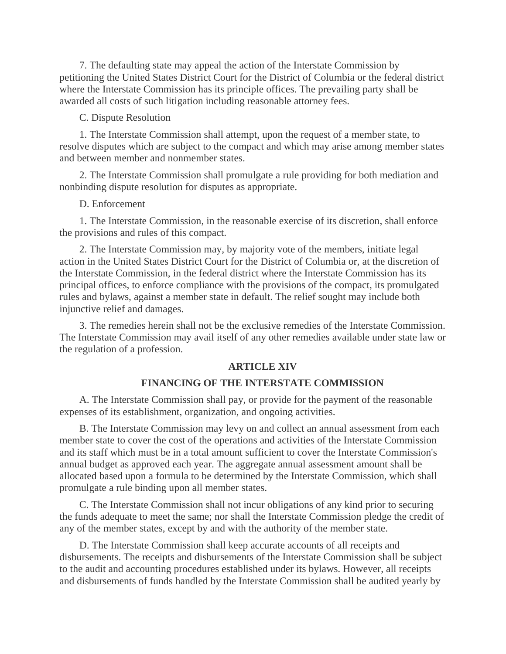7. The defaulting state may appeal the action of the Interstate Commission by petitioning the United States District Court for the District of Columbia or the federal district where the Interstate Commission has its principle offices. The prevailing party shall be awarded all costs of such litigation including reasonable attorney fees.

#### C. Dispute Resolution

1. The Interstate Commission shall attempt, upon the request of a member state, to resolve disputes which are subject to the compact and which may arise among member states and between member and nonmember states.

2. The Interstate Commission shall promulgate a rule providing for both mediation and nonbinding dispute resolution for disputes as appropriate.

## D. Enforcement

1. The Interstate Commission, in the reasonable exercise of its discretion, shall enforce the provisions and rules of this compact.

2. The Interstate Commission may, by majority vote of the members, initiate legal action in the United States District Court for the District of Columbia or, at the discretion of the Interstate Commission, in the federal district where the Interstate Commission has its principal offices, to enforce compliance with the provisions of the compact, its promulgated rules and bylaws, against a member state in default. The relief sought may include both injunctive relief and damages.

3. The remedies herein shall not be the exclusive remedies of the Interstate Commission. The Interstate Commission may avail itself of any other remedies available under state law or the regulation of a profession.

#### **ARTICLE XIV**

## **FINANCING OF THE INTERSTATE COMMISSION**

A. The Interstate Commission shall pay, or provide for the payment of the reasonable expenses of its establishment, organization, and ongoing activities.

B. The Interstate Commission may levy on and collect an annual assessment from each member state to cover the cost of the operations and activities of the Interstate Commission and its staff which must be in a total amount sufficient to cover the Interstate Commission's annual budget as approved each year. The aggregate annual assessment amount shall be allocated based upon a formula to be determined by the Interstate Commission, which shall promulgate a rule binding upon all member states.

C. The Interstate Commission shall not incur obligations of any kind prior to securing the funds adequate to meet the same; nor shall the Interstate Commission pledge the credit of any of the member states, except by and with the authority of the member state.

D. The Interstate Commission shall keep accurate accounts of all receipts and disbursements. The receipts and disbursements of the Interstate Commission shall be subject to the audit and accounting procedures established under its bylaws. However, all receipts and disbursements of funds handled by the Interstate Commission shall be audited yearly by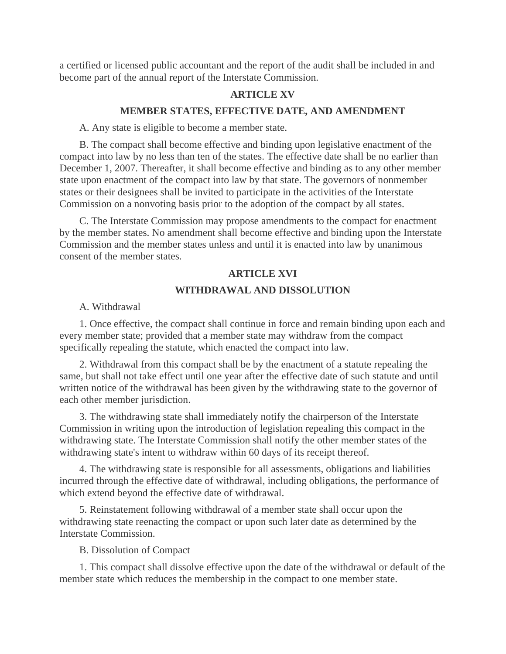a certified or licensed public accountant and the report of the audit shall be included in and become part of the annual report of the Interstate Commission.

## **ARTICLE XV**

#### **MEMBER STATES, EFFECTIVE DATE, AND AMENDMENT**

A. Any state is eligible to become a member state.

B. The compact shall become effective and binding upon legislative enactment of the compact into law by no less than ten of the states. The effective date shall be no earlier than December 1, 2007. Thereafter, it shall become effective and binding as to any other member state upon enactment of the compact into law by that state. The governors of nonmember states or their designees shall be invited to participate in the activities of the Interstate Commission on a nonvoting basis prior to the adoption of the compact by all states.

C. The Interstate Commission may propose amendments to the compact for enactment by the member states. No amendment shall become effective and binding upon the Interstate Commission and the member states unless and until it is enacted into law by unanimous consent of the member states.

# **ARTICLE XVI WITHDRAWAL AND DISSOLUTION**

A. Withdrawal

1. Once effective, the compact shall continue in force and remain binding upon each and every member state; provided that a member state may withdraw from the compact specifically repealing the statute, which enacted the compact into law.

2. Withdrawal from this compact shall be by the enactment of a statute repealing the same, but shall not take effect until one year after the effective date of such statute and until written notice of the withdrawal has been given by the withdrawing state to the governor of each other member jurisdiction.

3. The withdrawing state shall immediately notify the chairperson of the Interstate Commission in writing upon the introduction of legislation repealing this compact in the withdrawing state. The Interstate Commission shall notify the other member states of the withdrawing state's intent to withdraw within 60 days of its receipt thereof.

4. The withdrawing state is responsible for all assessments, obligations and liabilities incurred through the effective date of withdrawal, including obligations, the performance of which extend beyond the effective date of withdrawal.

5. Reinstatement following withdrawal of a member state shall occur upon the withdrawing state reenacting the compact or upon such later date as determined by the Interstate Commission.

B. Dissolution of Compact

1. This compact shall dissolve effective upon the date of the withdrawal or default of the member state which reduces the membership in the compact to one member state.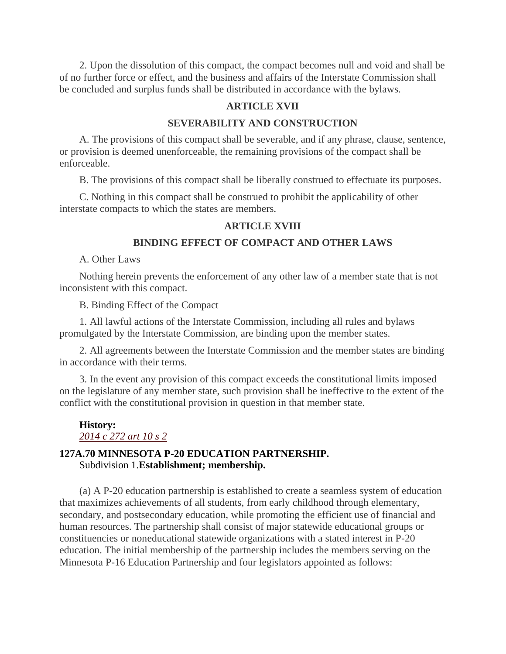2. Upon the dissolution of this compact, the compact becomes null and void and shall be of no further force or effect, and the business and affairs of the Interstate Commission shall be concluded and surplus funds shall be distributed in accordance with the bylaws.

## **ARTICLE XVII**

## **SEVERABILITY AND CONSTRUCTION**

A. The provisions of this compact shall be severable, and if any phrase, clause, sentence, or provision is deemed unenforceable, the remaining provisions of the compact shall be enforceable.

B. The provisions of this compact shall be liberally construed to effectuate its purposes.

C. Nothing in this compact shall be construed to prohibit the applicability of other interstate compacts to which the states are members.

#### **ARTICLE XVIII**

## **BINDING EFFECT OF COMPACT AND OTHER LAWS**

A. Other Laws

Nothing herein prevents the enforcement of any other law of a member state that is not inconsistent with this compact.

B. Binding Effect of the Compact

1. All lawful actions of the Interstate Commission, including all rules and bylaws promulgated by the Interstate Commission, are binding upon the member states.

2. All agreements between the Interstate Commission and the member states are binding in accordance with their terms.

3. In the event any provision of this compact exceeds the constitutional limits imposed on the legislature of any member state, such provision shall be ineffective to the extent of the conflict with the constitutional provision in question in that member state.

#### **History:** *[2014](https://www.revisor.mn.gov/laws/?id=272&year=2014&type=0) c 272 art 10 s 2*

# **127A.70 MINNESOTA P-20 EDUCATION PARTNERSHIP.**

Subdivision 1.**Establishment; membership.**

(a) A P-20 education partnership is established to create a seamless system of education that maximizes achievements of all students, from early childhood through elementary, secondary, and postsecondary education, while promoting the efficient use of financial and human resources. The partnership shall consist of major statewide educational groups or constituencies or noneducational statewide organizations with a stated interest in P-20 education. The initial membership of the partnership includes the members serving on the Minnesota P-16 Education Partnership and four legislators appointed as follows: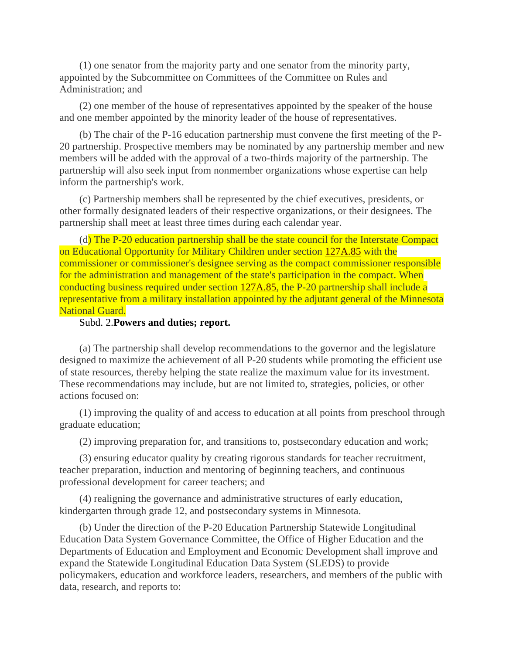(1) one senator from the majority party and one senator from the minority party, appointed by the Subcommittee on Committees of the Committee on Rules and Administration; and

(2) one member of the house of representatives appointed by the speaker of the house and one member appointed by the minority leader of the house of representatives.

(b) The chair of the P-16 education partnership must convene the first meeting of the P-20 partnership. Prospective members may be nominated by any partnership member and new members will be added with the approval of a two-thirds majority of the partnership. The partnership will also seek input from nonmember organizations whose expertise can help inform the partnership's work.

(c) Partnership members shall be represented by the chief executives, presidents, or other formally designated leaders of their respective organizations, or their designees. The partnership shall meet at least three times during each calendar year.

(d) The P-20 education partnership shall be the state council for the Interstate Compact on Educational Opportunity for Military Children under section [127A.85](https://www.revisor.mn.gov/statutes/?id=127A.85) with the commissioner or commissioner's designee serving as the compact commissioner responsible for the administration and management of the state's participation in the compact. When conducting business required under section [127A.85,](https://www.revisor.mn.gov/statutes/?id=127A.85) the P-20 partnership shall include a representative from a military installation appointed by the adjutant general of the Minnesota National Guard.

## Subd. 2.**Powers and duties; report.**

(a) The partnership shall develop recommendations to the governor and the legislature designed to maximize the achievement of all P-20 students while promoting the efficient use of state resources, thereby helping the state realize the maximum value for its investment. These recommendations may include, but are not limited to, strategies, policies, or other actions focused on:

(1) improving the quality of and access to education at all points from preschool through graduate education;

(2) improving preparation for, and transitions to, postsecondary education and work;

(3) ensuring educator quality by creating rigorous standards for teacher recruitment, teacher preparation, induction and mentoring of beginning teachers, and continuous professional development for career teachers; and

(4) realigning the governance and administrative structures of early education, kindergarten through grade 12, and postsecondary systems in Minnesota.

(b) Under the direction of the P-20 Education Partnership Statewide Longitudinal Education Data System Governance Committee, the Office of Higher Education and the Departments of Education and Employment and Economic Development shall improve and expand the Statewide Longitudinal Education Data System (SLEDS) to provide policymakers, education and workforce leaders, researchers, and members of the public with data, research, and reports to: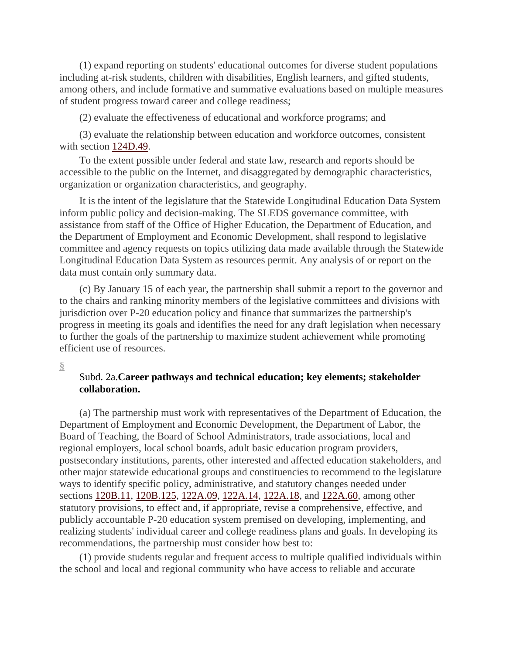(1) expand reporting on students' educational outcomes for diverse student populations including at-risk students, children with disabilities, English learners, and gifted students, among others, and include formative and summative evaluations based on multiple measures of student progress toward career and college readiness;

(2) evaluate the effectiveness of educational and workforce programs; and

(3) evaluate the relationship between education and workforce outcomes, consistent with section [124D.49.](https://www.revisor.mn.gov/statutes/?id=124D.49)

To the extent possible under federal and state law, research and reports should be accessible to the public on the Internet, and disaggregated by demographic characteristics, organization or organization characteristics, and geography.

It is the intent of the legislature that the Statewide Longitudinal Education Data System inform public policy and decision-making. The SLEDS governance committee, with assistance from staff of the Office of Higher Education, the Department of Education, and the Department of Employment and Economic Development, shall respond to legislative committee and agency requests on topics utilizing data made available through the Statewide Longitudinal Education Data System as resources permit. Any analysis of or report on the data must contain only summary data.

(c) By January 15 of each year, the partnership shall submit a report to the governor and to the chairs and ranking minority members of the legislative committees and divisions with jurisdiction over P-20 education policy and finance that summarizes the partnership's progress in meeting its goals and identifies the need for any draft legislation when necessary to further the goals of the partnership to maximize student achievement while promoting efficient use of resources.

**[§](https://www.revisor.mn.gov/statutes/?id=127A.70#stat.127A.70.2a)**

## Subd. 2a.**Career pathways and technical education; key elements; stakeholder collaboration.**

(a) The partnership must work with representatives of the Department of Education, the Department of Employment and Economic Development, the Department of Labor, the Board of Teaching, the Board of School Administrators, trade associations, local and regional employers, local school boards, adult basic education program providers, postsecondary institutions, parents, other interested and affected education stakeholders, and other major statewide educational groups and constituencies to recommend to the legislature ways to identify specific policy, administrative, and statutory changes needed under sections [120B.11,](https://www.revisor.mn.gov/statutes/?id=120B.11) [120B.125,](https://www.revisor.mn.gov/statutes/?id=120B.125) [122A.09,](https://www.revisor.mn.gov/statutes/?id=122A.09) [122A.14,](https://www.revisor.mn.gov/statutes/?id=122A.14) [122A.18,](https://www.revisor.mn.gov/statutes/?id=122A.18) and [122A.60,](https://www.revisor.mn.gov/statutes/?id=122A.60) among other statutory provisions, to effect and, if appropriate, revise a comprehensive, effective, and publicly accountable P-20 education system premised on developing, implementing, and realizing students' individual career and college readiness plans and goals. In developing its recommendations, the partnership must consider how best to:

(1) provide students regular and frequent access to multiple qualified individuals within the school and local and regional community who have access to reliable and accurate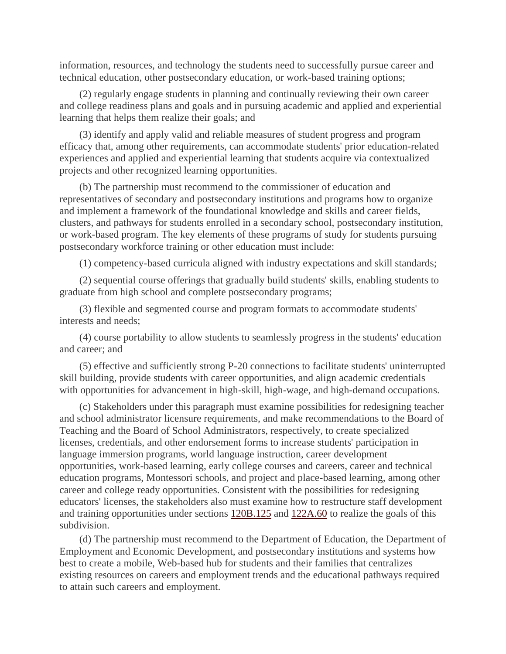information, resources, and technology the students need to successfully pursue career and technical education, other postsecondary education, or work-based training options;

(2) regularly engage students in planning and continually reviewing their own career and college readiness plans and goals and in pursuing academic and applied and experiential learning that helps them realize their goals; and

(3) identify and apply valid and reliable measures of student progress and program efficacy that, among other requirements, can accommodate students' prior education-related experiences and applied and experiential learning that students acquire via contextualized projects and other recognized learning opportunities.

(b) The partnership must recommend to the commissioner of education and representatives of secondary and postsecondary institutions and programs how to organize and implement a framework of the foundational knowledge and skills and career fields, clusters, and pathways for students enrolled in a secondary school, postsecondary institution, or work-based program. The key elements of these programs of study for students pursuing postsecondary workforce training or other education must include:

(1) competency-based curricula aligned with industry expectations and skill standards;

(2) sequential course offerings that gradually build students' skills, enabling students to graduate from high school and complete postsecondary programs;

(3) flexible and segmented course and program formats to accommodate students' interests and needs;

(4) course portability to allow students to seamlessly progress in the students' education and career; and

(5) effective and sufficiently strong P-20 connections to facilitate students' uninterrupted skill building, provide students with career opportunities, and align academic credentials with opportunities for advancement in high-skill, high-wage, and high-demand occupations.

(c) Stakeholders under this paragraph must examine possibilities for redesigning teacher and school administrator licensure requirements, and make recommendations to the Board of Teaching and the Board of School Administrators, respectively, to create specialized licenses, credentials, and other endorsement forms to increase students' participation in language immersion programs, world language instruction, career development opportunities, work-based learning, early college courses and careers, career and technical education programs, Montessori schools, and project and place-based learning, among other career and college ready opportunities. Consistent with the possibilities for redesigning educators' licenses, the stakeholders also must examine how to restructure staff development and training opportunities under sections [120B.125](https://www.revisor.mn.gov/statutes/?id=120B.125) and [122A.60](https://www.revisor.mn.gov/statutes/?id=122A.60) to realize the goals of this subdivision.

(d) The partnership must recommend to the Department of Education, the Department of Employment and Economic Development, and postsecondary institutions and systems how best to create a mobile, Web-based hub for students and their families that centralizes existing resources on careers and employment trends and the educational pathways required to attain such careers and employment.